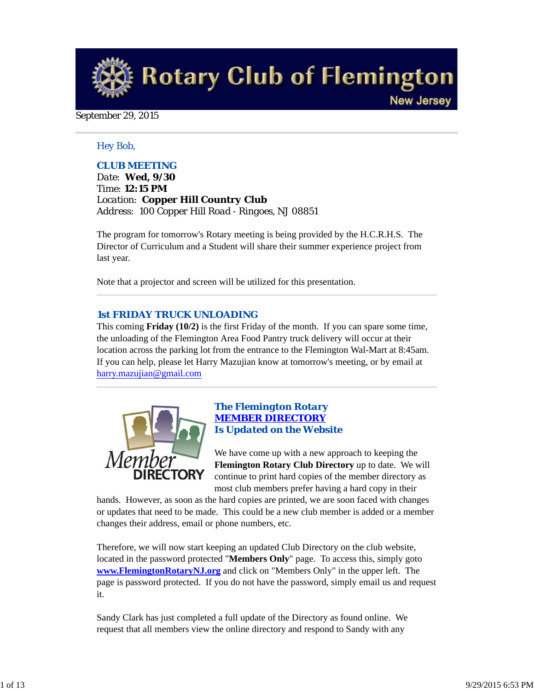**Rotary Club of Flemington New Jersey** 

#### September 29, 2015

#### *Hey Bob,*

#### *CLUB MEETING*

*Date: Wed, 9/30 Time: 12:15 PM Location: Copper Hill Country Club Address: 100 Copper Hill Road - Ringoes, NJ 08851*

The program for tomorrow's Rotary meeting is being provided by the H.C.R.H.S. The Director of Curriculum and a Student will share their summer experience project from last year.

Note that a projector and screen will be utilized for this presentation.

#### *1st FRIDAY TRUCK UNLOADING*

This coming **Friday (10/2)** is the first Friday of the month. If you can spare some time, the unloading of the Flemington Area Food Pantry truck delivery will occur at their location across the parking lot from the entrance to the Flemington Wal-Mart at 8:45am. If you can help, please let Harry Mazujian know at tomorrow's meeting, or by email at harry.mazujian@gmail.com



## *The Flemington Rotary MEMBER DIRECTORY Is Updated on the Website*

We have come up with a new approach to keeping the **Flemington Rotary Club Directory** up to date. We will continue to print hard copies of the member directory as most club members prefer having a hard copy in their

hands. However, as soon as the hard copies are printed, we are soon faced with changes or updates that need to be made. This could be a new club member is added or a member changes their address, email or phone numbers, etc.

Therefore, we will now start keeping an updated Club Directory on the club website, located in the password protected "**Members Only**" page. To access this, simply goto **www.FlemingtonRotaryNJ.org** and click on "Members Only" in the upper left. The page is password protected. If you do not have the password, simply email us and request it.

Sandy Clark has just completed a full update of the Directory as found online. We request that all members view the online directory and respond to Sandy with any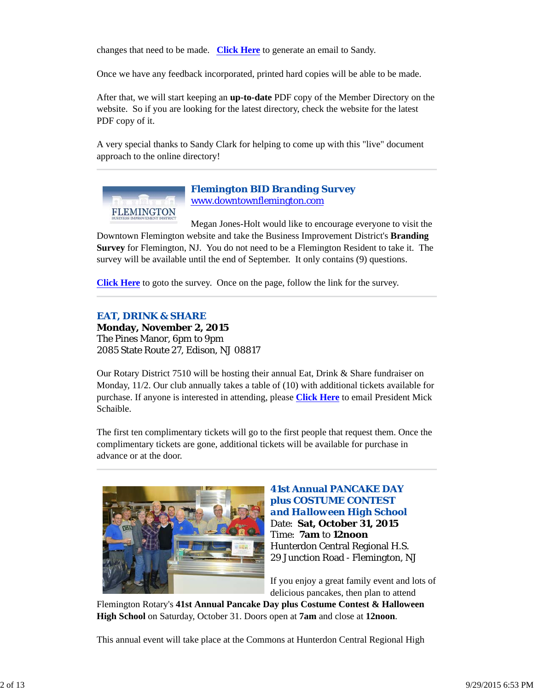changes that need to be made. **Click Here** to generate an email to Sandy.

Once we have any feedback incorporated, printed hard copies will be able to be made.

After that, we will start keeping an **up-to-date** PDF copy of the Member Directory on the website. So if you are looking for the latest directory, check the website for the latest PDF copy of it.

A very special thanks to Sandy Clark for helping to come up with this "live" document approach to the online directory!



*Flemington BID Branding Survey* www.downtownflemington.com

Megan Jones-Holt would like to encourage everyone to visit the Downtown Flemington website and take the Business Improvement District's **Branding Survey** for Flemington, NJ. You do not need to be a Flemington Resident to take it. The survey will be available until the end of September. It only contains (9) questions.

**Click Here** to goto the survey. Once on the page, follow the link for the survey.

#### *EAT, DRINK & SHARE*

**Monday, November 2, 2015** The Pines Manor, 6pm to 9pm 2085 State Route 27, Edison, NJ 08817

Our Rotary District 7510 will be hosting their annual Eat, Drink & Share fundraiser on Monday, 11/2. Our club annually takes a table of (10) with additional tickets available for purchase. If anyone is interested in attending, please **Click Here** to email President Mick Schaible.

The first ten complimentary tickets will go to the first people that request them. Once the complimentary tickets are gone, additional tickets will be available for purchase in advance or at the door.



## **41st Annual PANCAKE DAY plus COSTUME CONTEST**  *and Halloween High School* Date: **Sat, October 31, 2015** Time: **7am** to **12noon** Hunterdon Central Regional H.S. 29 Junction Road - Flemington, NJ

If you enjoy a great family event and lots of delicious pancakes, then plan to attend

Flemington Rotary's **41st Annual Pancake Day plus Costume Contest & Halloween High School** on Saturday, October 31. Doors open at **7am** and close at **12noon**.

This annual event will take place at the Commons at Hunterdon Central Regional High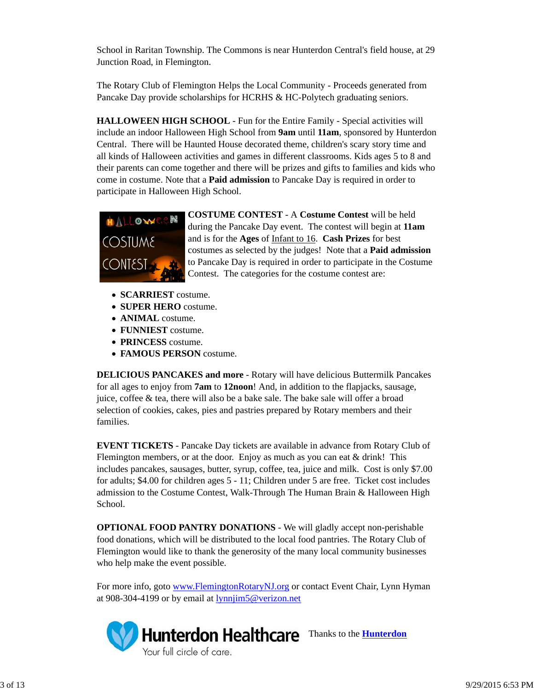School in Raritan Township. The Commons is near Hunterdon Central's field house, at 29 Junction Road, in Flemington.

The Rotary Club of Flemington Helps the Local Community - Proceeds generated from Pancake Day provide scholarships for HCRHS & HC-Polytech graduating seniors.

**HALLOWEEN HIGH SCHOOL** - Fun for the Entire Family - Special activities will include an indoor Halloween High School from **9am** until **11am**, sponsored by Hunterdon Central. There will be Haunted House decorated theme, children's scary story time and all kinds of Halloween activities and games in different classrooms. Kids ages 5 to 8 and their parents can come together and there will be prizes and gifts to families and kids who come in costume. Note that a **Paid admission** to Pancake Day is required in order to participate in Halloween High School.



**COSTUME CONTEST** - A **Costume Contest** will be held during the Pancake Day event. The contest will begin at **11am** and is for the **Ages** of Infant to 16. **Cash Prizes** for best costumes as selected by the judges! Note that a **Paid admission** to Pancake Day is required in order to participate in the Costume Contest. The categories for the costume contest are:

- **SCARRIEST** costume.
- **SUPER HERO** costume.
- **ANIMAL** costume.
- **FUNNIEST** costume.
- **PRINCESS** costume.
- **FAMOUS PERSON** costume.

**DELICIOUS PANCAKES and more** - Rotary will have delicious Buttermilk Pancakes for all ages to enjoy from **7am** to **12noon**! And, in addition to the flapjacks, sausage, juice, coffee & tea, there will also be a bake sale. The bake sale will offer a broad selection of cookies, cakes, pies and pastries prepared by Rotary members and their families.

**EVENT TICKETS** - Pancake Day tickets are available in advance from Rotary Club of Flemington members, or at the door. Enjoy as much as you can eat  $\&$  drink! This includes pancakes, sausages, butter, syrup, coffee, tea, juice and milk. Cost is only \$7.00 for adults; \$4.00 for children ages 5 - 11; Children under 5 are free. Ticket cost includes admission to the Costume Contest, Walk-Through The Human Brain & Halloween High School.

**OPTIONAL FOOD PANTRY DONATIONS** - We will gladly accept non-perishable food donations, which will be distributed to the local food pantries. The Rotary Club of Flemington would like to thank the generosity of the many local community businesses who help make the event possible.

For more info, goto www.FlemingtonRotaryNJ.org or contact Event Chair, Lynn Hyman at 908-304-4199 or by email at lynnjim5@verizon.net

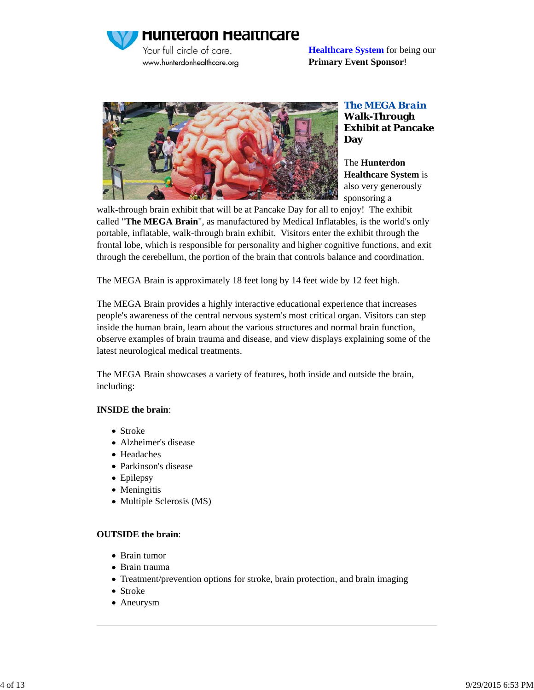**Hunterdon Healthcare** 

Your full circle of care. www.hunterdonhealthcare.org **Healthcare System** for being our **Primary Event Sponsor**!



*The MEGA Brain* **Walk-Through Exhibit at Pancake Day**

The **Hunterdon Healthcare System** is also very generously sponsoring a

walk-through brain exhibit that will be at Pancake Day for all to enjoy! The exhibit called "**The MEGA Brain**", as manufactured by Medical Inflatables, is the world's only portable, inflatable, walk-through brain exhibit. Visitors enter the exhibit through the frontal lobe, which is responsible for personality and higher cognitive functions, and exit through the cerebellum, the portion of the brain that controls balance and coordination.

The MEGA Brain is approximately 18 feet long by 14 feet wide by 12 feet high.

The MEGA Brain provides a highly interactive educational experience that increases people's awareness of the central nervous system's most critical organ. Visitors can step inside the human brain, learn about the various structures and normal brain function, observe examples of brain trauma and disease, and view displays explaining some of the latest neurological medical treatments.

The MEGA Brain showcases a variety of features, both inside and outside the brain, including:

## **INSIDE the brain**:

- Stroke
- Alzheimer's disease
- Headaches
- Parkinson's disease
- Epilepsy
- Meningitis
- Multiple Sclerosis (MS)

## **OUTSIDE the brain**:

- Brain tumor
- Brain trauma
- Treatment/prevention options for stroke, brain protection, and brain imaging
- Stroke
- Aneurysm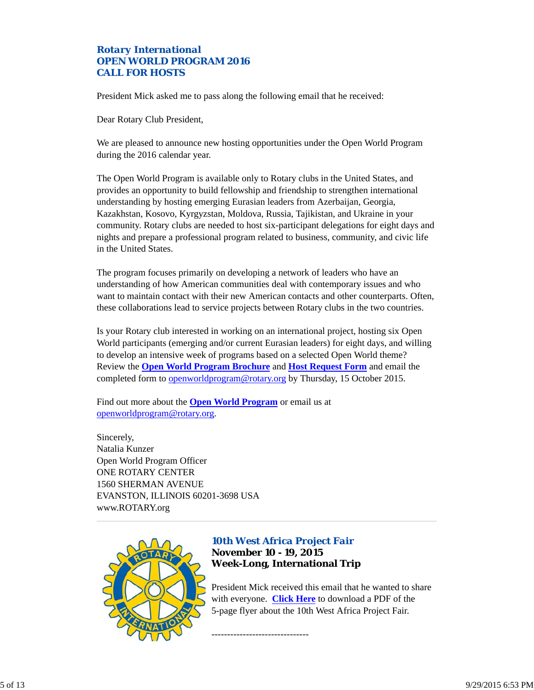## *Rotary International OPEN WORLD PROGRAM 2016 CALL FOR HOSTS*

President Mick asked me to pass along the following email that he received:

Dear Rotary Club President,

We are pleased to announce new hosting opportunities under the Open World Program during the 2016 calendar year.

The Open World Program is available only to Rotary clubs in the United States, and provides an opportunity to build fellowship and friendship to strengthen international understanding by hosting emerging Eurasian leaders from Azerbaijan, Georgia, Kazakhstan, Kosovo, Kyrgyzstan, Moldova, Russia, Tajikistan, and Ukraine in your community. Rotary clubs are needed to host six-participant delegations for eight days and nights and prepare a professional program related to business, community, and civic life in the United States.

The program focuses primarily on developing a network of leaders who have an understanding of how American communities deal with contemporary issues and who want to maintain contact with their new American contacts and other counterparts. Often, these collaborations lead to service projects between Rotary clubs in the two countries.

Is your Rotary club interested in working on an international project, hosting six Open World participants (emerging and/or current Eurasian leaders) for eight days, and willing to develop an intensive week of programs based on a selected Open World theme? Review the **Open World Program Brochure** and **Host Request Form** and email the completed form to openworldprogram@rotary.org by Thursday, 15 October 2015.

Find out more about the **Open World Program** or email us at openworldprogram@rotary.org.

Sincerely, Natalia Kunzer Open World Program Officer ONE ROTARY CENTER 1560 SHERMAN AVENUE EVANSTON, ILLINOIS 60201-3698 USA www.ROTARY.org



# *10th West Africa Project Fair* **November 10 - 19, 2015 Week-Long, International Trip**

-------------------------------

President Mick received this email that he wanted to share with everyone. **Click Here** to download a PDF of the 5-page flyer about the 10th West Africa Project Fair.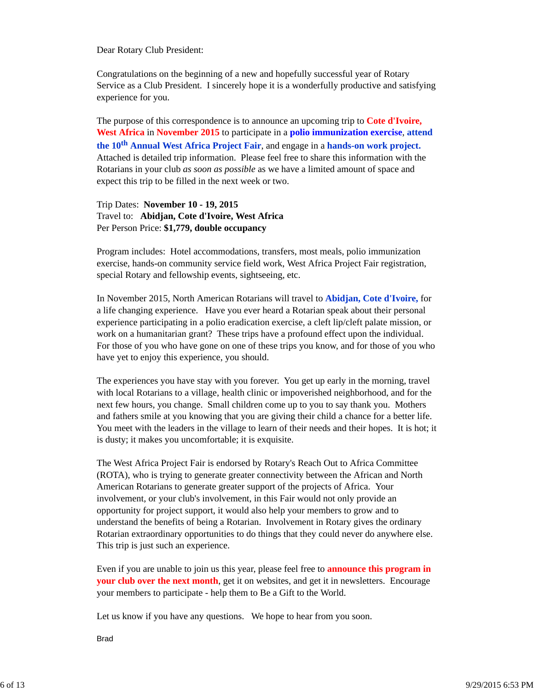Dear Rotary Club President:

Congratulations on the beginning of a new and hopefully successful year of Rotary Service as a Club President. I sincerely hope it is a wonderfully productive and satisfying experience for you.

The purpose of this correspondence is to announce an upcoming trip to **Cote d'Ivoire, West Africa** in **November 2015** to participate in a **polio immunization exercise**, **attend the 10th Annual West Africa Project Fair**, and engage in a **hands-on work project.** Attached is detailed trip information. Please feel free to share this information with the Rotarians in your club *as soon as possible* as we have a limited amount of space and expect this trip to be filled in the next week or two.

## Trip Dates: **November 10 - 19, 2015** Travel to: **Abidjan, Cote d'Ivoire, West Africa** Per Person Price: **\$1,779, double occupancy**

Program includes: Hotel accommodations, transfers, most meals, polio immunization exercise, hands-on community service field work, West Africa Project Fair registration, special Rotary and fellowship events, sightseeing, etc.

In November 2015, North American Rotarians will travel to **Abidjan, Cote d'Ivoire,** for a life changing experience. Have you ever heard a Rotarian speak about their personal experience participating in a polio eradication exercise, a cleft lip/cleft palate mission, or work on a humanitarian grant? These trips have a profound effect upon the individual. For those of you who have gone on one of these trips you know, and for those of you who have yet to enjoy this experience, you should.

The experiences you have stay with you forever. You get up early in the morning, travel with local Rotarians to a village, health clinic or impoverished neighborhood, and for the next few hours, you change. Small children come up to you to say thank you. Mothers and fathers smile at you knowing that you are giving their child a chance for a better life. You meet with the leaders in the village to learn of their needs and their hopes. It is hot; it is dusty; it makes you uncomfortable; it is exquisite.

The West Africa Project Fair is endorsed by Rotary's Reach Out to Africa Committee (ROTA), who is trying to generate greater connectivity between the African and North American Rotarians to generate greater support of the projects of Africa. Your involvement, or your club's involvement, in this Fair would not only provide an opportunity for project support, it would also help your members to grow and to understand the benefits of being a Rotarian. Involvement in Rotary gives the ordinary Rotarian extraordinary opportunities to do things that they could never do anywhere else. This trip is just such an experience.

Even if you are unable to join us this year, please feel free to **announce this program in your club over the next month**, get it on websites, and get it in newsletters. Encourage your members to participate - help them to Be a Gift to the World.

Let us know if you have any questions. We hope to hear from you soon.

Brad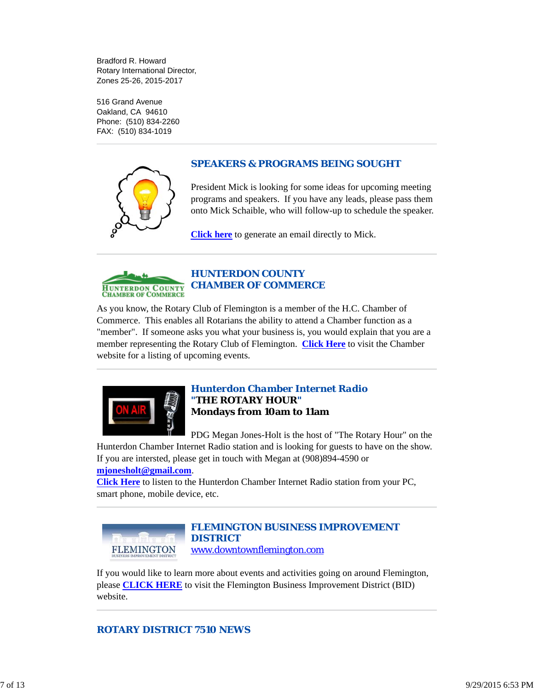Bradford R. Howard Rotary International Director, Zones 25-26, 2015-2017

516 Grand Avenue Oakland, CA 94610 Phone: (510) 834-2260 FAX: (510) 834-1019



## *SPEAKERS & PROGRAMS BEING SOUGHT*

President Mick is looking for some ideas for upcoming meeting programs and speakers. If you have any leads, please pass them onto Mick Schaible, who will follow-up to schedule the speaker.

**Click here** to generate an email directly to Mick.



## *HUNTERDON COUNTY CHAMBER OF COMMERCE*

As you know, the Rotary Club of Flemington is a member of the H.C. Chamber of Commerce. This enables all Rotarians the ability to attend a Chamber function as a "member". If someone asks you what your business is, you would explain that you are a member representing the Rotary Club of Flemington. **Click Here** to visit the Chamber website for a listing of upcoming events.



## *Hunterdon Chamber Internet Radio "THE ROTARY HOUR"* **Mondays from 10am to 11am**

PDG Megan Jones-Holt is the host of "The Rotary Hour" on the

Hunterdon Chamber Internet Radio station and is looking for guests to have on the show. If you are intersted, please get in touch with Megan at (908)894-4590 or **mjonesholt@gmail.com**.

**Click Here** to listen to the Hunterdon Chamber Internet Radio station from your PC, smart phone, mobile device, etc.



# *FLEMINGTON BUSINESS IMPROVEMENT DISTRICT*

www.downtownflemington.com

If you would like to learn more about events and activities going on around Flemington, please **CLICK HERE** to visit the Flemington Business Improvement District (BID) website.

# *ROTARY DISTRICT 7510 NEWS*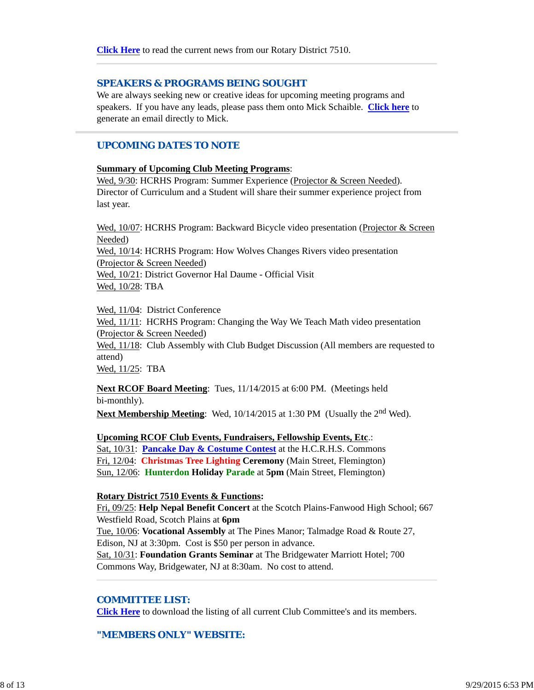#### *SPEAKERS & PROGRAMS BEING SOUGHT*

We are always seeking new or creative ideas for upcoming meeting programs and speakers. If you have any leads, please pass them onto Mick Schaible. **Click here** to generate an email directly to Mick.

## *UPCOMING DATES TO NOTE*

#### **Summary of Upcoming Club Meeting Programs**:

Wed, 9/30: HCRHS Program: Summer Experience (Projector & Screen Needed). Director of Curriculum and a Student will share their summer experience project from last year.

Wed, 10/07: HCRHS Program: Backward Bicycle video presentation (Projector & Screen Needed) Wed, 10/14: HCRHS Program: How Wolves Changes Rivers video presentation (Projector & Screen Needed) Wed, 10/21: District Governor Hal Daume - Official Visit Wed, 10/28: TBA

Wed, 11/04: District Conference

Wed,  $11/11$ : HCRHS Program: Changing the Way We Teach Math video presentation (Projector & Screen Needed)

Wed, 11/18: Club Assembly with Club Budget Discussion (All members are requested to attend)

Wed, 11/25: TBA

**Next RCOF Board Meeting**: Tues, 11/14/2015 at 6:00 PM. (Meetings held bi-monthly).

**Next Membership Meeting**: Wed, 10/14/2015 at 1:30 PM (Usually the 2<sup>nd</sup> Wed).

**Upcoming RCOF Club Events, Fundraisers, Fellowship Events, Etc**.:

Sat, 10/31: **Pancake Day & Costume Contest** at the H.C.R.H.S. Commons Fri, 12/04: **Christmas Tree Lighting Ceremony** (Main Street, Flemington) Sun, 12/06: **Hunterdon Holiday Parade** at **5pm** (Main Street, Flemington)

#### **Rotary District 7510 Events & Functions:**

Fri, 09/25: **Help Nepal Benefit Concert** at the Scotch Plains-Fanwood High School; 667 Westfield Road, Scotch Plains at **6pm** Tue, 10/06: **Vocational Assembly** at The Pines Manor; Talmadge Road & Route 27, Edison, NJ at 3:30pm. Cost is \$50 per person in advance. Sat, 10/31: **Foundation Grants Seminar** at The Bridgewater Marriott Hotel; 700 Commons Way, Bridgewater, NJ at 8:30am. No cost to attend.

#### *COMMITTEE LIST:*

**Click Here** to download the listing of all current Club Committee's and its members.

*"MEMBERS ONLY" WEBSITE:*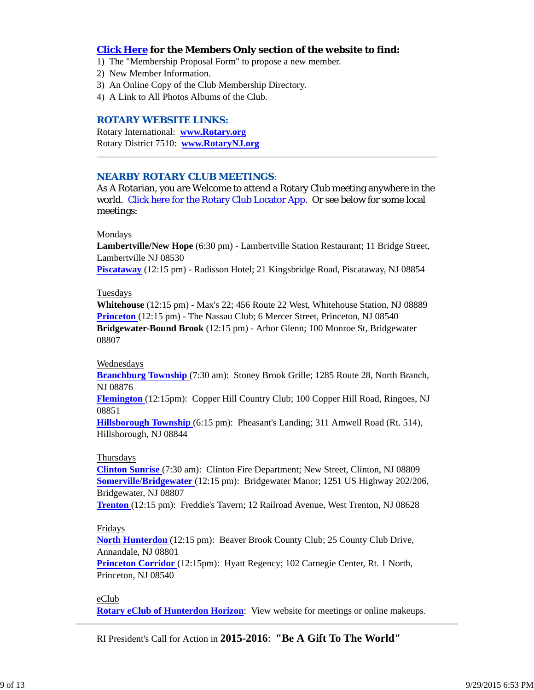## **Click Here for the Members Only section of the website to find:**

- 1) The "Membership Proposal Form" to propose a new member.
- 2) New Member Information.
- 3) An Online Copy of the Club Membership Directory.
- 4) A Link to All Photos Albums of the Club.

## *ROTARY WEBSITE LINKS:*

Rotary International: **www.Rotary.org** Rotary District 7510: **www.RotaryNJ.org**

## *NEARBY ROTARY CLUB MEETINGS:*

As A Rotarian, you are Welcome to attend a Rotary Club meeting anywhere in the world. Click here for the Rotary Club Locator App. Or see below for some local meetings:

#### Mondays

**Lambertville/New Hope** (6:30 pm) - Lambertville Station Restaurant; 11 Bridge Street, Lambertville NJ 08530

**Piscataway** (12:15 pm) - Radisson Hotel; 21 Kingsbridge Road, Piscataway, NJ 08854

#### Tuesdays

**Whitehouse** (12:15 pm) - Max's 22; 456 Route 22 West, Whitehouse Station, NJ 08889 **Princeton** (12:15 pm) - The Nassau Club; 6 Mercer Street, Princeton, NJ 08540 **Bridgewater-Bound Brook** (12:15 pm) - Arbor Glenn; 100 Monroe St, Bridgewater 08807

#### Wednesdays

**Branchburg Township** (7:30 am): Stoney Brook Grille; 1285 Route 28, North Branch, NJ 08876

**Flemington** (12:15pm): Copper Hill Country Club; 100 Copper Hill Road, Ringoes, NJ 08851

**Hillsborough Township** (6:15 pm): Pheasant's Landing; 311 Amwell Road (Rt. 514), Hillsborough, NJ 08844

#### Thursdays

**Clinton Sunrise** (7:30 am): Clinton Fire Department; New Street, Clinton, NJ 08809 **Somerville/Bridgewater** (12:15 pm): Bridgewater Manor; 1251 US Highway 202/206, Bridgewater, NJ 08807

**Trenton** (12:15 pm): Freddie's Tavern; 12 Railroad Avenue, West Trenton, NJ 08628

## Fridays

**North Hunterdon** (12:15 pm): Beaver Brook County Club; 25 County Club Drive, Annandale, NJ 08801

**Princeton Corridor** (12:15pm): Hyatt Regency; 102 Carnegie Center, Rt. 1 North, Princeton, NJ 08540

eClub **Rotary eClub of Hunterdon Horizon**: View website for meetings or online makeups.

RI President's Call for Action in **2015-2016**: **"Be A Gift To The World"**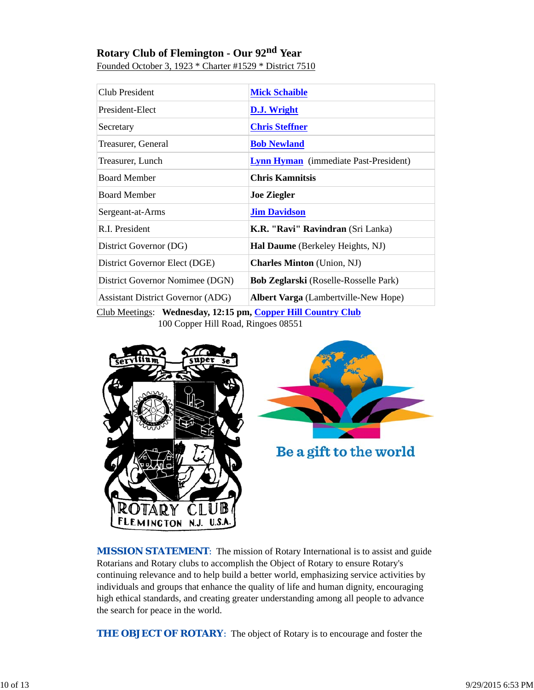# **Rotary Club of Flemington - Our 92nd Year**

| Club President                                             | <b>Mick Schaible</b>                         |  |
|------------------------------------------------------------|----------------------------------------------|--|
| President-Elect                                            | D.J. Wright                                  |  |
| Secretary                                                  | <b>Chris Steffner</b>                        |  |
| Treasurer, General                                         | <b>Bob Newland</b>                           |  |
| Treasurer, Lunch                                           | <b>Lynn Hyman</b> (immediate Past-President) |  |
| <b>Board Member</b>                                        | <b>Chris Kamnitsis</b>                       |  |
| <b>Board Member</b>                                        | <b>Joe Ziegler</b>                           |  |
| Sergeant-at-Arms                                           | <b>Jim Davidson</b>                          |  |
| R.I. President                                             | K.R. "Ravi" Ravindran (Sri Lanka)            |  |
| District Governor (DG)                                     | Hal Daume (Berkeley Heights, NJ)             |  |
| District Governor Elect (DGE)                              | <b>Charles Minton</b> (Union, NJ)            |  |
| District Governor Nomimee (DGN)                            | Bob Zeglarski (Roselle-Rosselle Park)        |  |
| <b>Assistant District Governor (ADG)</b>                   | Albert Varga (Lambertville-New Hope)         |  |
| Club Meetings: Wednesday 12:15 pm Conper Hill Country Club |                                              |  |

Founded October 3, 1923 \* Charter #1529 \* District 7510

dnesday, 12:15 pm, <mark>Copper Hill Country Club</mark> 100 Copper Hill Road, Ringoes 08551





Be a gift to the world

**MISSION STATEMENT:** The mission of Rotary International is to assist and guide Rotarians and Rotary clubs to accomplish the Object of Rotary to ensure Rotary's continuing relevance and to help build a better world, emphasizing service activities by individuals and groups that enhance the quality of life and human dignity, encouraging high ethical standards, and creating greater understanding among all people to advance the search for peace in the world.

*THE OBJECT OF ROTARY*: The object of Rotary is to encourage and foster the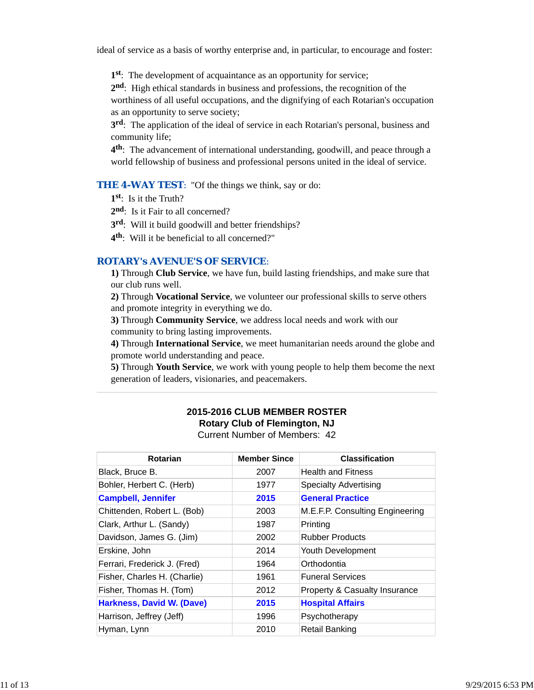ideal of service as a basis of worthy enterprise and, in particular, to encourage and foster:

**1st**: The development of acquaintance as an opportunity for service;

**2nd**: High ethical standards in business and professions, the recognition of the worthiness of all useful occupations, and the dignifying of each Rotarian's occupation as an opportunity to serve society;

**3rd**: The application of the ideal of service in each Rotarian's personal, business and community life;

**4th**: The advancement of international understanding, goodwill, and peace through a world fellowship of business and professional persons united in the ideal of service.

**THE 4-WAY TEST:** "Of the things we think, say or do:

**1st**: Is it the Truth?

2<sup>nd</sup>: Is it Fair to all concerned?

**3rd**: Will it build goodwill and better friendships?

**4th**: Will it be beneficial to all concerned?"

## *ROTARY's AVENUE'S OF SERVICE*:

**1)** Through **Club Service**, we have fun, build lasting friendships, and make sure that our club runs well.

**2)** Through **Vocational Service**, we volunteer our professional skills to serve others and promote integrity in everything we do.

**3)** Through **Community Service**, we address local needs and work with our community to bring lasting improvements.

**4)** Through **International Service**, we meet humanitarian needs around the globe and promote world understanding and peace.

**5)** Through **Youth Service**, we work with young people to help them become the next generation of leaders, visionaries, and peacemakers.

# **2015-2016 CLUB MEMBER ROSTER Rotary Club of Flemington, NJ**

Current Number of Members: 42

| Rotarian                     | <b>Member Since</b> | <b>Classification</b>                    |
|------------------------------|---------------------|------------------------------------------|
| Black, Bruce B.              | 2007                | <b>Health and Fitness</b>                |
| Bohler, Herbert C. (Herb)    | 1977                | <b>Specialty Advertising</b>             |
| <b>Campbell, Jennifer</b>    | 2015                | <b>General Practice</b>                  |
| Chittenden, Robert L. (Bob)  | 2003                | M.E.F.P. Consulting Engineering          |
| Clark, Arthur L. (Sandy)     | 1987                | Printing                                 |
| Davidson, James G. (Jim)     | 2002                | <b>Rubber Products</b>                   |
| Erskine, John                | 2014                | Youth Development                        |
| Ferrari, Frederick J. (Fred) | 1964                | Orthodontia                              |
| Fisher, Charles H. (Charlie) | 1961                | <b>Funeral Services</b>                  |
| Fisher, Thomas H. (Tom)      | 2012                | <b>Property &amp; Casualty Insurance</b> |
| Harkness, David W. (Dave)    | 2015                | <b>Hospital Affairs</b>                  |
| Harrison, Jeffrey (Jeff)     | 1996                | Psychotherapy                            |
| Hyman, Lynn                  | 2010                | <b>Retail Banking</b>                    |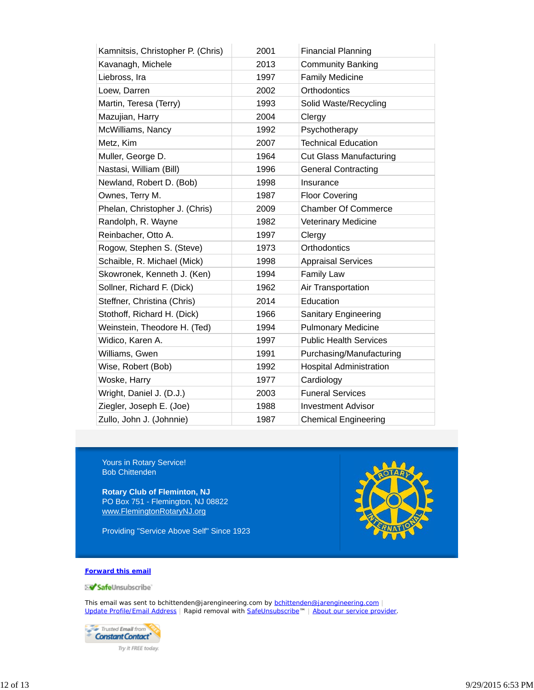| Kamnitsis, Christopher P. (Chris) | 2001 | <b>Financial Planning</b>      |
|-----------------------------------|------|--------------------------------|
| Kavanagh, Michele                 | 2013 | <b>Community Banking</b>       |
| Liebross, Ira                     | 1997 | <b>Family Medicine</b>         |
| Loew, Darren                      | 2002 | Orthodontics                   |
| Martin, Teresa (Terry)            | 1993 | Solid Waste/Recycling          |
| Mazujian, Harry                   | 2004 | Clergy                         |
| McWilliams, Nancy                 | 1992 | Psychotherapy                  |
| Metz, Kim                         | 2007 | <b>Technical Education</b>     |
| Muller, George D.                 | 1964 | <b>Cut Glass Manufacturing</b> |
| Nastasi, William (Bill)           | 1996 | <b>General Contracting</b>     |
| Newland, Robert D. (Bob)          | 1998 | Insurance                      |
| Ownes, Terry M.                   | 1987 | <b>Floor Covering</b>          |
| Phelan, Christopher J. (Chris)    | 2009 | <b>Chamber Of Commerce</b>     |
| Randolph, R. Wayne                | 1982 | Veterinary Medicine            |
| Reinbacher, Otto A.               | 1997 | Clergy                         |
| Rogow, Stephen S. (Steve)         | 1973 | Orthodontics                   |
| Schaible, R. Michael (Mick)       | 1998 | <b>Appraisal Services</b>      |
| Skowronek, Kenneth J. (Ken)       | 1994 | <b>Family Law</b>              |
| Sollner, Richard F. (Dick)        | 1962 | Air Transportation             |
| Steffner, Christina (Chris)       | 2014 | Education                      |
| Stothoff, Richard H. (Dick)       | 1966 | <b>Sanitary Engineering</b>    |
| Weinstein, Theodore H. (Ted)      | 1994 | <b>Pulmonary Medicine</b>      |
| Widico, Karen A.                  | 1997 | <b>Public Health Services</b>  |
| Williams, Gwen                    | 1991 | Purchasing/Manufacturing       |
| Wise, Robert (Bob)                | 1992 | <b>Hospital Administration</b> |
| Woske, Harry                      | 1977 | Cardiology                     |
| Wright, Daniel J. (D.J.)          | 2003 | <b>Funeral Services</b>        |
| Ziegler, Joseph E. (Joe)          | 1988 | <b>Investment Advisor</b>      |
| Zullo, John J. (Johnnie)          | 1987 | <b>Chemical Engineering</b>    |

Yours in Rotary Service! Bob Chittenden

**Rotary Club of Fleminton, NJ** PO Box 751 - Flemington, NJ 08822 www.FlemingtonRotaryNJ.org

Providing "Service Above Self" Since 1923



#### **Forward this email**

SafeUnsubscribe

This email was sent to bchittenden@jarengineering.com by bchittenden@jarengineering.com | Update Profile/Email Address | Rapid removal with SafeUnsubscribe™ | About our service provider.